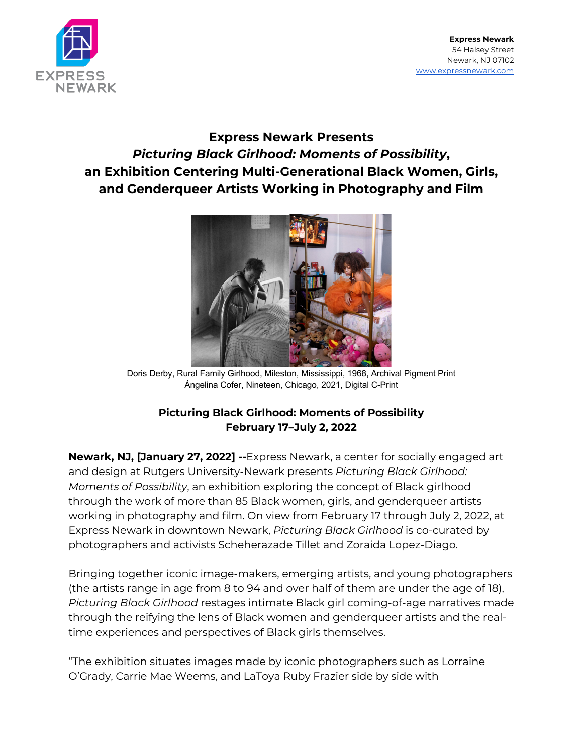

**Express Newark** 54 Halsey Street Newark, NJ 07102 www.expressnewark.com

# **Express Newark Presents**  *Picturing Black Girlhood: Moments of Possibility***, an Exhibition Centering Multi-Generational Black Women, Girls, and Genderqueer Artists Working in Photography and Film**



Doris Derby, Rural Family Girlhood, Mileston, Mississippi, 1968, Archival Pigment Print Ángelina Cofer, Nineteen, Chicago, 2021, Digital C-Print

# **Picturing Black Girlhood: Moments of Possibility February 17–July 2, 2022**

**Newark, NJ, [January 27, 2022] --**Express Newark, a center for socially engaged art and design at Rutgers University-Newark presents *Picturing Black Girlhood: Moments of Possibility*, an exhibition exploring the concept of Black girlhood through the work of more than 85 Black women, girls, and genderqueer artists working in photography and film. On view from February 17 through July 2, 2022, at Express Newark in downtown Newark, *Picturing Black Girlhood* is co-curated by photographers and activists Scheherazade Tillet and Zoraida Lopez-Diago.

Bringing together iconic image-makers, emerging artists, and young photographers (the artists range in age from 8 to 94 and over half of them are under the age of 18), *Picturing Black Girlhood* restages intimate Black girl coming-of-age narratives made through the reifying the lens of Black women and genderqueer artists and the realtime experiences and perspectives of Black girls themselves.

"The exhibition situates images made by iconic photographers such as Lorraine O'Grady, Carrie Mae Weems, and LaToya Ruby Frazier side by side with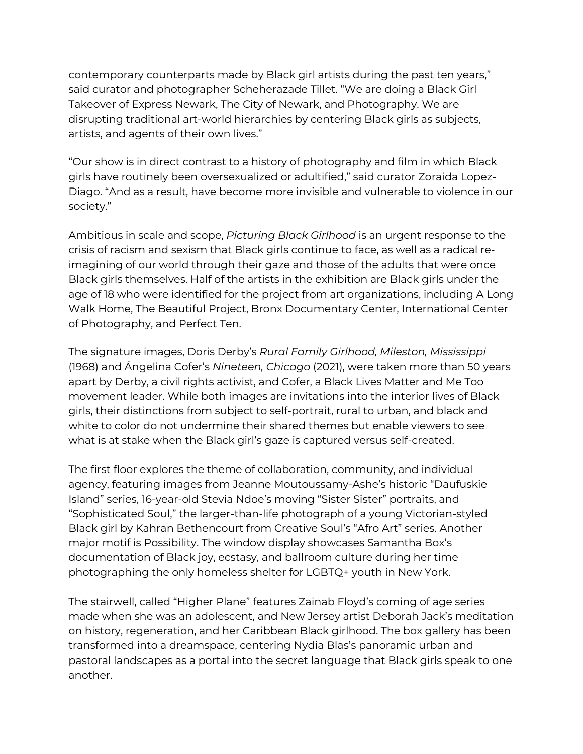contemporary counterparts made by Black girl artists during the past ten years," said curator and photographer Scheherazade Tillet. "We are doing a Black Girl Takeover of Express Newark, The City of Newark, and Photography. We are disrupting traditional art-world hierarchies by centering Black girls as subjects, artists, and agents of their own lives."

"Our show is in direct contrast to a history of photography and film in which Black girls have routinely been oversexualized or adultified," said curator Zoraida Lopez-Diago. "And as a result, have become more invisible and vulnerable to violence in our society."

Ambitious in scale and scope, *Picturing Black Girlhood* is an urgent response to the crisis of racism and sexism that Black girls continue to face, as well as a radical reimagining of our world through their gaze and those of the adults that were once Black girls themselves. Half of the artists in the exhibition are Black girls under the age of 18 who were identified for the project from art organizations, including A Long Walk Home, The Beautiful Project, Bronx Documentary Center, International Center of Photography, and Perfect Ten.

The signature images, Doris Derby's *Rural Family Girlhood, Mileston, Mississippi*  (1968) and Ángelina Cofer's *Nineteen, Chicago* (2021), were taken more than 50 years apart by Derby, a civil rights activist, and Cofer, a Black Lives Matter and Me Too movement leader. While both images are invitations into the interior lives of Black girls, their distinctions from subject to self-portrait, rural to urban, and black and white to color do not undermine their shared themes but enable viewers to see what is at stake when the Black girl's gaze is captured versus self-created.

The first floor explores the theme of collaboration, community, and individual agency, featuring images from Jeanne Moutoussamy-Ashe's historic "Daufuskie Island" series, 16-year-old Stevia Ndoe's moving "Sister Sister" portraits, and "Sophisticated Soul," the larger-than-life photograph of a young Victorian-styled Black girl by Kahran Bethencourt from Creative Soul's "Afro Art" series. Another major motif is Possibility. The window display showcases Samantha Box's documentation of Black joy, ecstasy, and ballroom culture during her time photographing the only homeless shelter for LGBTQ+ youth in New York.

The stairwell, called "Higher Plane" features Zainab Floyd's coming of age series made when she was an adolescent, and New Jersey artist Deborah Jack's meditation on history, regeneration, and her Caribbean Black girlhood. The box gallery has been transformed into a dreamspace, centering Nydia Blas's panoramic urban and pastoral landscapes as a portal into the secret language that Black girls speak to one another.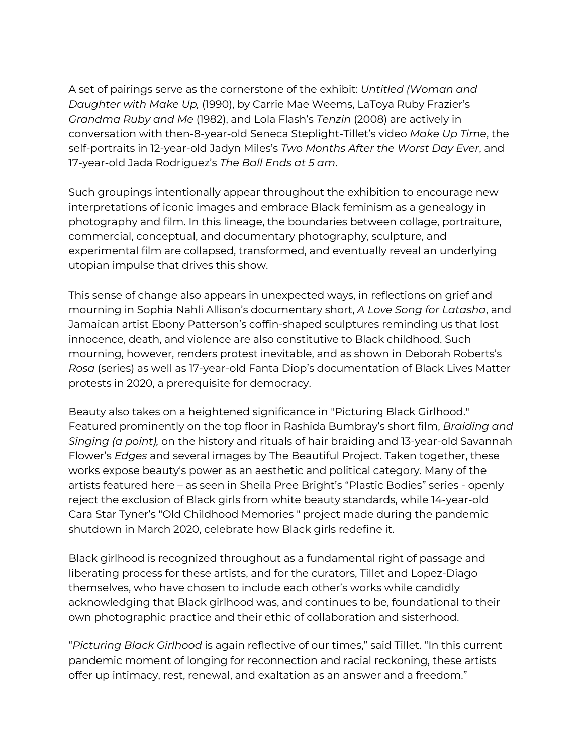A set of pairings serve as the cornerstone of the exhibit: *Untitled (Woman and Daughter with Make Up,* (1990), by Carrie Mae Weems, LaToya Ruby Frazier's *Grandma Ruby and Me* (1982), and Lola Flash's *Tenzin* (2008) are actively in conversation with then-8-year-old Seneca Steplight-Tillet's video *Make Up Time*, the self-portraits in 12-year-old Jadyn Miles's *Two Months After the Worst Day Ever*, and 17-year-old Jada Rodriguez's *The Ball Ends at 5 am*.

Such groupings intentionally appear throughout the exhibition to encourage new interpretations of iconic images and embrace Black feminism as a genealogy in photography and film. In this lineage, the boundaries between collage, portraiture, commercial, conceptual, and documentary photography, sculpture, and experimental film are collapsed, transformed, and eventually reveal an underlying utopian impulse that drives this show.

This sense of change also appears in unexpected ways, in reflections on grief and mourning in Sophia Nahli Allison's documentary short, *A Love Song for Latasha*, and Jamaican artist Ebony Patterson's coffin-shaped sculptures reminding us that lost innocence, death, and violence are also constitutive to Black childhood. Such mourning, however, renders protest inevitable, and as shown in Deborah Roberts's *Rosa* (series) as well as 17-year-old Fanta Diop's documentation of Black Lives Matter protests in 2020, a prerequisite for democracy.

Beauty also takes on a heightened significance in "Picturing Black Girlhood." Featured prominently on the top floor in Rashida Bumbray's short film, *Braiding and Singing (a point),* on the history and rituals of hair braiding and 13-year-old Savannah Flower's *Edges* and several images by The Beautiful Project. Taken together, these works expose beauty's power as an aesthetic and political category. Many of the artists featured here – as seen in Sheila Pree Bright's "Plastic Bodies" series - openly reject the exclusion of Black girls from white beauty standards, while 14-year-old Cara Star Tyner's "Old Childhood Memories " project made during the pandemic shutdown in March 2020, celebrate how Black girls redefine it.

Black girlhood is recognized throughout as a fundamental right of passage and liberating process for these artists, and for the curators, Tillet and Lopez-Diago themselves, who have chosen to include each other's works while candidly acknowledging that Black girlhood was, and continues to be, foundational to their own photographic practice and their ethic of collaboration and sisterhood.

"*Picturing Black Girlhood* is again reflective of our times," said Tillet. "In this current pandemic moment of longing for reconnection and racial reckoning, these artists offer up intimacy, rest, renewal, and exaltation as an answer and a freedom."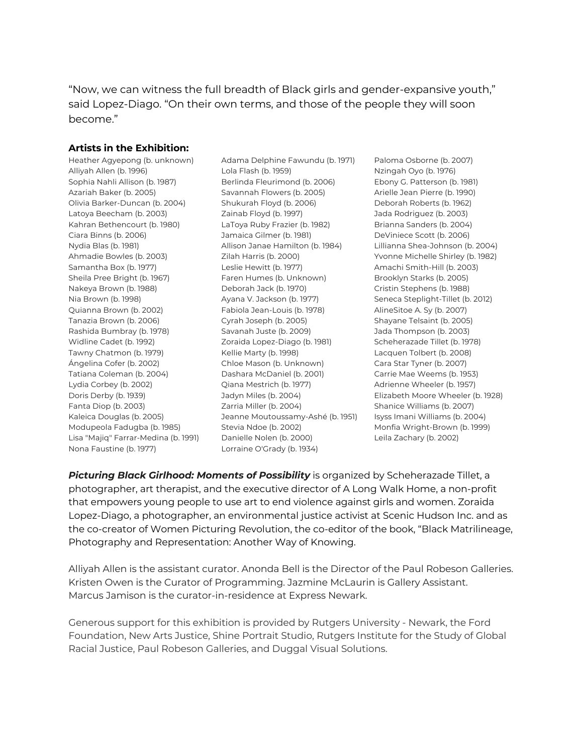"Now, we can witness the full breadth of Black girls and gender-expansive youth," said Lopez-Diago. "On their own terms, and those of the people they will soon become."

#### **Artists in the Exhibition:**

Heather Agyepong (b. unknown) Alliyah Allen (b. 1996) Sophia Nahli Allison (b. 1987) Azariah Baker (b. 2005) Olivia Barker-Duncan (b. 2004) Latoya Beecham (b. 2003) Kahran Bethencourt (b. 1980) Ciara Binns (b. 2006) Nydia Blas (b. 1981) Ahmadie Bowles (b. 2003) Samantha Box (b. 1977) Sheila Pree Bright (b. 1967) Nakeya Brown (b. 1988) Nia Brown (b. 1998) Quianna Brown (b. 2002) Tanazia Brown (b. 2006) Rashida Bumbray (b. 1978) Widline Cadet (b. 1992) Tawny Chatmon (b. 1979) Ángelina Cofer (b. 2002) Tatiana Coleman (b. 2004) Lydia Corbey (b. 2002) Doris Derby (b. 1939) Fanta Diop (b. 2003) Kaleica Douglas (b. 2005) Modupeola Fadugba (b. 1985) Lisa "Majiq" Farrar-Medina (b. 1991) Nona Faustine (b. 1977)

Adama Delphine Fawundu (b. 1971) Lola Flash (b. 1959) Berlinda Fleurimond (b. 2006) Savannah Flowers (b. 2005) Shukurah Floyd (b. 2006) Zainab Floyd (b. 1997) LaToya Ruby Frazier (b. 1982) Jamaica Gilmer (b. 1981) Allison Janae Hamilton (b. 1984) Zilah Harris (b. 2000) Leslie Hewitt (b. 1977) Faren Humes (b. Unknown) Deborah Jack (b. 1970) Ayana V. Jackson (b. 1977) Fabiola Jean-Louis (b. 1978) Cyrah Joseph (b. 2005) Savanah Juste (b. 2009) Zoraida Lopez-Diago (b. 1981) Kellie Marty (b. 1998) Chloe Mason (b. Unknown) Dashara McDaniel (b. 2001) Qiana Mestrich (b. 1977) Jadyn Miles (b. 2004) Zarria Miller (b. 2004) Jeanne Moutoussamy-Ashé (b. 1951) Stevia Ndoe (b. 2002) Danielle Nolen (b. 2000) Lorraine O'Grady (b. 1934)

Paloma Osborne (b. 2007) Nzingah Oyo (b. 1976) Ebony G. Patterson (b. 1981) Arielle Jean Pierre (b. 1990) Deborah Roberts (b. 1962) Jada Rodriguez (b. 2003) Brianna Sanders (b. 2004) DeViniece Scott (b. 2006) Lillianna Shea-Johnson (b. 2004) Yvonne Michelle Shirley (b. 1982) Amachi Smith-Hill (b. 2003) Brooklyn Starks (b. 2005) Cristin Stephens (b. 1988) Seneca Steplight-Tillet (b. 2012) AlineSitoe A. Sy (b. 2007) Shayane Telsaint (b. 2005) Jada Thompson (b. 2003) Scheherazade Tillet (b. 1978) Lacquen Tolbert (b. 2008) Cara Star Tyner (b. 2007) Carrie Mae Weems (b. 1953) Adrienne Wheeler (b. 1957) Elizabeth Moore Wheeler (b. 1928) Shanice Williams (b. 2007) Isyss Imani Williams (b. 2004) Monfia Wright-Brown (b. 1999) Leila Zachary (b. 2002)

*Picturing Black Girlhood: Moments of Possibility* is organized by Scheherazade Tillet, a photographer, art therapist, and the executive director of A Long Walk Home, a non-profit that empowers young people to use art to end violence against girls and women. Zoraida Lopez-Diago, a photographer, an environmental justice activist at Scenic Hudson Inc. and as the co-creator of Women Picturing Revolution, the co-editor of the book, "Black Matrilineage, Photography and Representation: Another Way of Knowing.

Alliyah Allen is the assistant curator. Anonda Bell is the Director of the Paul Robeson Galleries. Kristen Owen is the Curator of Programming. Jazmine McLaurin is Gallery Assistant. Marcus Jamison is the curator-in-residence at Express Newark.

Generous support for this exhibition is provided by Rutgers University - Newark, the Ford Foundation, New Arts Justice, Shine Portrait Studio, Rutgers Institute for the Study of Global Racial Justice, Paul Robeson Galleries, and Duggal Visual Solutions.